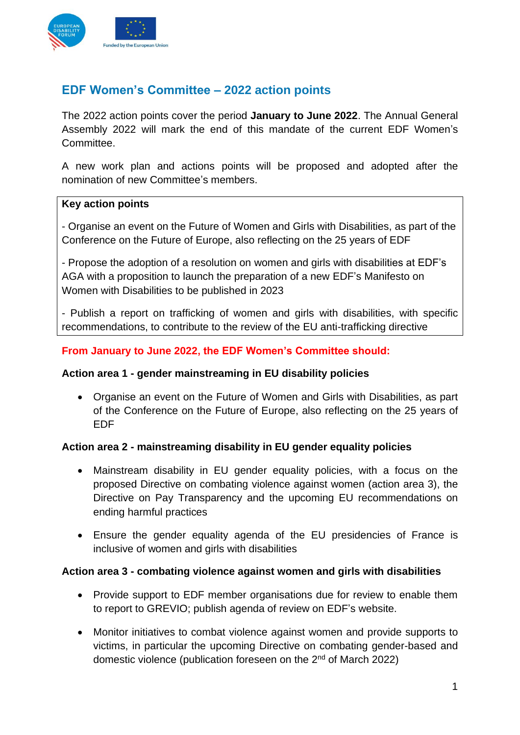

# **EDF Women's Committee – 2022 action points**

The 2022 action points cover the period **January to June 2022**. The Annual General Assembly 2022 will mark the end of this mandate of the current EDF Women's Committee.

A new work plan and actions points will be proposed and adopted after the nomination of new Committee's members.

#### **Key action points**

- Organise an event on the Future of Women and Girls with Disabilities, as part of the Conference on the Future of Europe, also reflecting on the 25 years of EDF

- Propose the adoption of a resolution on women and girls with disabilities at EDF's AGA with a proposition to launch the preparation of a new EDF's Manifesto on Women with Disabilities to be published in 2023

- Publish a report on trafficking of women and girls with disabilities, with specific recommendations, to contribute to the review of the EU anti-trafficking directive

#### **From January to June 2022, the EDF Women's Committee should:**

#### **Action area 1 - gender mainstreaming in EU disability policies**

• Organise an event on the Future of Women and Girls with Disabilities, as part of the Conference on the Future of Europe, also reflecting on the 25 years of EDF

#### **Action area 2 - mainstreaming disability in EU gender equality policies**

- Mainstream disability in EU gender equality policies, with a focus on the proposed Directive on combating violence against women (action area 3), the Directive on Pay Transparency and the upcoming EU recommendations on ending harmful practices
- Ensure the gender equality agenda of the EU presidencies of France is inclusive of women and girls with disabilities

#### **Action area 3 - combating violence against women and girls with disabilities**

- Provide support to EDF member organisations due for review to enable them to report to GREVIO; publish agenda of review on EDF's website.
- Monitor initiatives to combat violence against women and provide supports to victims, in particular the upcoming Directive on combating gender-based and domestic violence (publication foreseen on the 2<sup>nd</sup> of March 2022)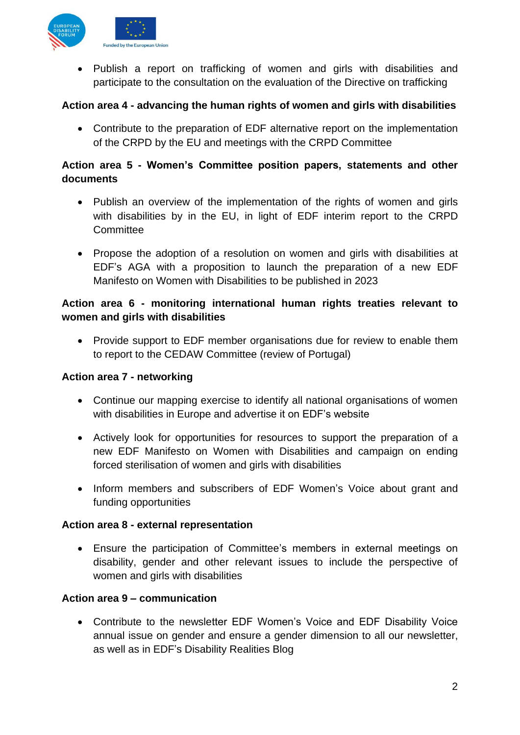

• Publish a report on trafficking of women and girls with disabilities and participate to the consultation on the evaluation of the Directive on trafficking

### **Action area 4 - advancing the human rights of women and girls with disabilities**

• Contribute to the preparation of EDF alternative report on the implementation of the CRPD by the EU and meetings with the CRPD Committee

# **Action area 5 - Women's Committee position papers, statements and other documents**

- Publish an overview of the implementation of the rights of women and girls with disabilities by in the EU, in light of EDF interim report to the CRPD **Committee**
- Propose the adoption of a resolution on women and girls with disabilities at EDF's AGA with a proposition to launch the preparation of a new EDF Manifesto on Women with Disabilities to be published in 2023

# **Action area 6 - monitoring international human rights treaties relevant to women and girls with disabilities**

• Provide support to EDF member organisations due for review to enable them to report to the CEDAW Committee (review of Portugal)

### **Action area 7 - networking**

- Continue our mapping exercise to identify all national organisations of women with disabilities in Europe and advertise it on EDF's website
- Actively look for opportunities for resources to support the preparation of a new EDF Manifesto on Women with Disabilities and campaign on ending forced sterilisation of women and girls with disabilities
- Inform members and subscribers of EDF Women's Voice about grant and funding opportunities

### **Action area 8 - external representation**

• Ensure the participation of Committee's members in external meetings on disability, gender and other relevant issues to include the perspective of women and girls with disabilities

### **Action area 9 – communication**

• Contribute to the newsletter EDF Women's Voice and EDF Disability Voice annual issue on gender and ensure a gender dimension to all our newsletter, as well as in EDF's Disability Realities Blog